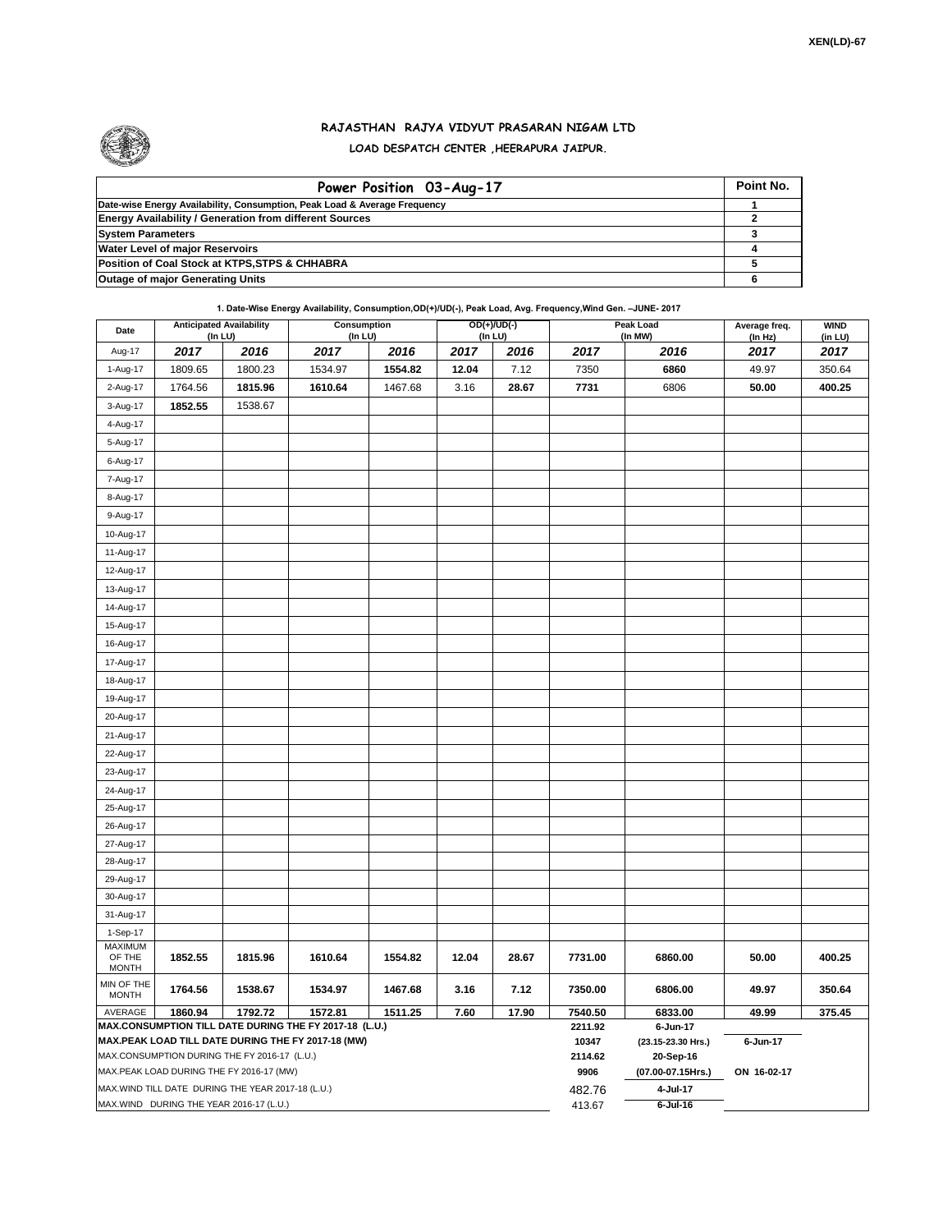

## **RAJASTHAN RAJYA VIDYUT PRASARAN NIGAM LTD LOAD DESPATCH CENTER ,HEERAPURA JAIPUR.**

| Power Position 03-Aug-17                                                  | Point No. |
|---------------------------------------------------------------------------|-----------|
| Date-wise Energy Availability, Consumption, Peak Load & Average Frequency |           |
| <b>Energy Availability / Generation from different Sources</b>            |           |
| <b>System Parameters</b>                                                  |           |
| <b>Water Level of major Reservoirs</b>                                    |           |
| Position of Coal Stock at KTPS, STPS & CHHABRA                            |           |
| <b>Outage of major Generating Units</b>                                   |           |

## **1. Date-Wise Energy Availability, Consumption,OD(+)/UD(-), Peak Load, Avg. Frequency,Wind Gen. –JUNE- 2017**

| Date                                    |         | <b>Anticipated Availability</b><br>(In LU)        | <b>Consumption</b><br>(In LU)                                     |         |       | $OD(+)/UD(-)$<br>(In LU) | <b>Peak Load</b><br>(In MW) |                                | Average freq.<br>(ln Hz) | <b>WIND</b><br>(in LU) |
|-----------------------------------------|---------|---------------------------------------------------|-------------------------------------------------------------------|---------|-------|--------------------------|-----------------------------|--------------------------------|--------------------------|------------------------|
| Aug-17                                  | 2017    | 2016                                              | 2017                                                              | 2016    | 2017  | 2016                     | 2017                        | 2016                           | 2017                     | 2017                   |
| 1-Aug-17                                | 1809.65 | 1800.23                                           | 1534.97                                                           | 1554.82 | 12.04 | 7.12                     | 7350                        | 6860                           | 49.97                    | 350.64                 |
| 2-Aug-17                                | 1764.56 | 1815.96                                           | 1610.64                                                           | 1467.68 | 3.16  | 28.67                    | 7731                        | 6806                           | 50.00                    | 400.25                 |
| 3-Aug-17                                | 1852.55 | 1538.67                                           |                                                                   |         |       |                          |                             |                                |                          |                        |
| 4-Aug-17                                |         |                                                   |                                                                   |         |       |                          |                             |                                |                          |                        |
| 5-Aug-17                                |         |                                                   |                                                                   |         |       |                          |                             |                                |                          |                        |
| 6-Aug-17                                |         |                                                   |                                                                   |         |       |                          |                             |                                |                          |                        |
| 7-Aug-17                                |         |                                                   |                                                                   |         |       |                          |                             |                                |                          |                        |
| 8-Aug-17                                |         |                                                   |                                                                   |         |       |                          |                             |                                |                          |                        |
| 9-Aug-17                                |         |                                                   |                                                                   |         |       |                          |                             |                                |                          |                        |
| 10-Aug-17                               |         |                                                   |                                                                   |         |       |                          |                             |                                |                          |                        |
| 11-Aug-17                               |         |                                                   |                                                                   |         |       |                          |                             |                                |                          |                        |
| 12-Aug-17                               |         |                                                   |                                                                   |         |       |                          |                             |                                |                          |                        |
| 13-Aug-17                               |         |                                                   |                                                                   |         |       |                          |                             |                                |                          |                        |
| 14-Aug-17                               |         |                                                   |                                                                   |         |       |                          |                             |                                |                          |                        |
| 15-Aug-17                               |         |                                                   |                                                                   |         |       |                          |                             |                                |                          |                        |
| 16-Aug-17                               |         |                                                   |                                                                   |         |       |                          |                             |                                |                          |                        |
| 17-Aug-17                               |         |                                                   |                                                                   |         |       |                          |                             |                                |                          |                        |
| 18-Aug-17                               |         |                                                   |                                                                   |         |       |                          |                             |                                |                          |                        |
| 19-Aug-17                               |         |                                                   |                                                                   |         |       |                          |                             |                                |                          |                        |
| 20-Aug-17                               |         |                                                   |                                                                   |         |       |                          |                             |                                |                          |                        |
| 21-Aug-17                               |         |                                                   |                                                                   |         |       |                          |                             |                                |                          |                        |
| 22-Aug-17                               |         |                                                   |                                                                   |         |       |                          |                             |                                |                          |                        |
| 23-Aug-17                               |         |                                                   |                                                                   |         |       |                          |                             |                                |                          |                        |
| 24-Aug-17                               |         |                                                   |                                                                   |         |       |                          |                             |                                |                          |                        |
| 25-Aug-17                               |         |                                                   |                                                                   |         |       |                          |                             |                                |                          |                        |
| 26-Aug-17                               |         |                                                   |                                                                   |         |       |                          |                             |                                |                          |                        |
| 27-Aug-17                               |         |                                                   |                                                                   |         |       |                          |                             |                                |                          |                        |
| 28-Aug-17                               |         |                                                   |                                                                   |         |       |                          |                             |                                |                          |                        |
| 29-Aug-17                               |         |                                                   |                                                                   |         |       |                          |                             |                                |                          |                        |
| 30-Aug-17                               |         |                                                   |                                                                   |         |       |                          |                             |                                |                          |                        |
| 31-Aug-17                               |         |                                                   |                                                                   |         |       |                          |                             |                                |                          |                        |
| 1-Sep-17<br><b>MAXIMUM</b>              |         |                                                   |                                                                   |         |       |                          |                             |                                |                          |                        |
| OF THE<br><b>MONTH</b>                  | 1852.55 | 1815.96                                           | 1610.64                                                           | 1554.82 | 12.04 | 28.67                    | 7731.00                     | 6860.00                        | 50.00                    | 400.25                 |
| MIN OF THE<br><b>MONTH</b>              | 1764.56 | 1538.67                                           | 1534.97                                                           | 1467.68 | 3.16  | 7.12                     | 7350.00                     | 6806.00                        | 49.97                    | 350.64                 |
| AVERAGE                                 | 1860.94 | 1792.72                                           | 1572.81<br>MAX.CONSUMPTION TILL DATE DURING THE FY 2017-18 (L.U.) | 1511.25 | 7.60  | 17.90                    | 7540.50                     | 6833.00                        | 49.99                    | 375.45                 |
|                                         |         |                                                   | MAX.PEAK LOAD TILL DATE DURING THE FY 2017-18 (MW)                |         |       |                          | 2211.92<br>10347            | 6-Jun-17<br>(23.15-23.30 Hrs.) | 6-Jun-17                 |                        |
|                                         |         | MAX.CONSUMPTION DURING THE FY 2016-17 (L.U.)      |                                                                   |         |       |                          | 2114.62                     | 20-Sep-16                      |                          |                        |
|                                         |         | MAX.PEAK LOAD DURING THE FY 2016-17 (MW)          |                                                                   |         |       |                          | 9906                        | (07.00-07.15Hrs.)              | ON 16-02-17              |                        |
|                                         |         | MAX.WIND TILL DATE DURING THE YEAR 2017-18 (L.U.) |                                                                   |         |       |                          | 482.76<br>413.67            | 4-Jul-17                       |                          |                        |
| MAX.WIND DURING THE YEAR 2016-17 (L.U.) |         |                                                   |                                                                   |         |       |                          |                             | $6$ -Jul-16                    |                          |                        |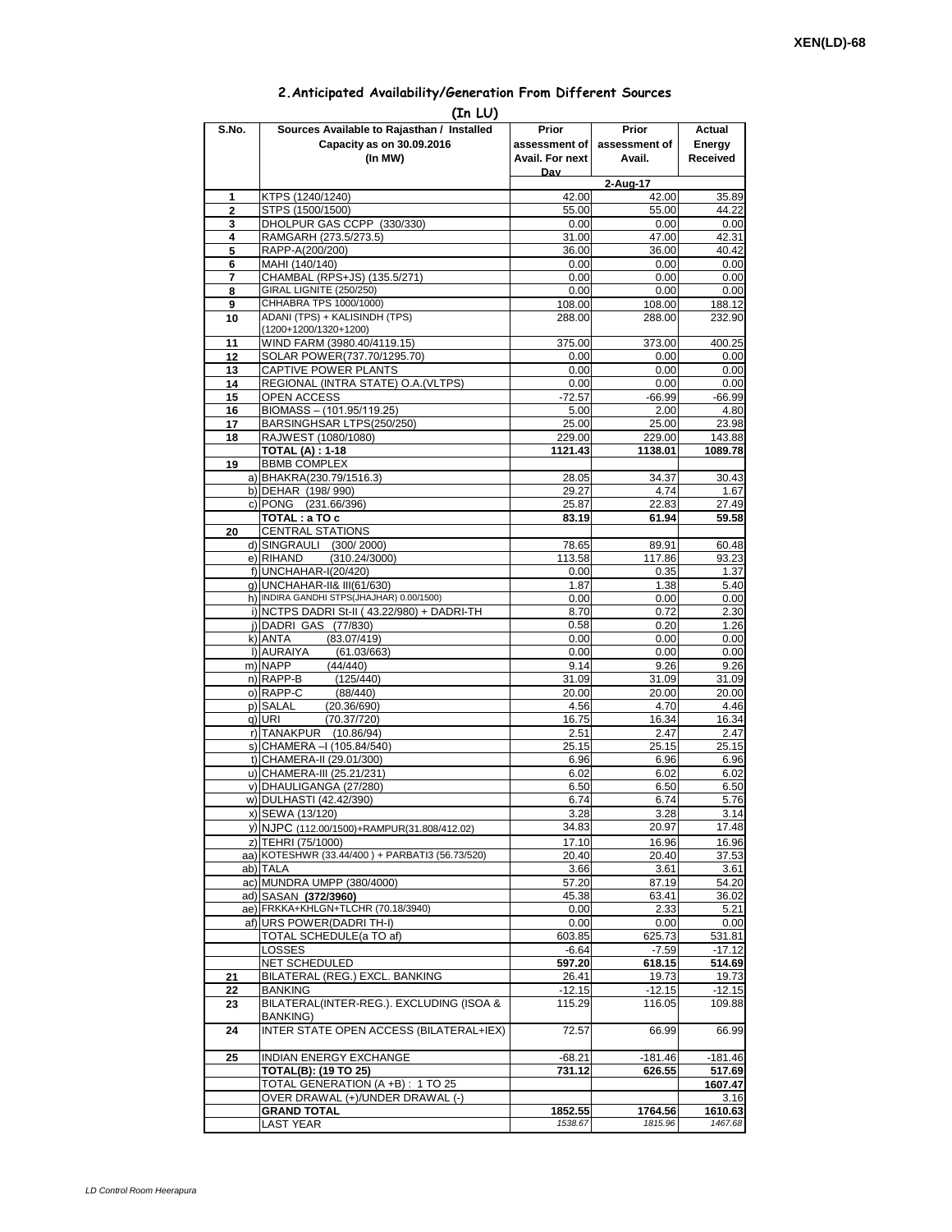## **2.Anticipated Availability/Generation From Different Sources**

| Sources Available to Rajasthan / Installed<br>S.No.<br>Prior<br>Prior<br>Actual<br>Capacity as on 30.09.2016<br>Energy<br>assessment of I<br>assessment of<br>(In MW)<br>Received<br>Avail. For next<br>Avail.<br>Dav<br>2-Aug-17<br>KTPS (1240/1240)<br>42.00<br>42.00<br>35.89<br>1<br>STPS (1500/1500)<br>55.00<br>$\overline{2}$<br>55.00<br>44.22<br>DHOLPUR GAS CCPP (330/330)<br>0.00<br>0.00<br>3<br>RAMGARH (273.5/273.5)<br>31.00<br>47.00<br>4<br>RAPP-A(200/200)<br>5<br>36.00<br>36.00<br>40.42<br>MAHI (140/140)<br>0.00<br>0.00<br>0.00<br>6<br>CHAMBAL (RPS+JS) (135.5/271)<br>0.00<br>0.00<br>0.00<br>7<br>GIRAL LIGNITE (250/250)<br>0.00<br>0.00<br>0.00<br>8<br>CHHABRA TPS 1000/1000)<br>108.00<br>9<br>108.00<br>188.12<br>ADANI (TPS) + KALISINDH (TPS)<br>288.00<br>288.00<br>10<br>(1200+1200/1320+1200)<br>WIND FARM (3980.40/4119.15)<br>375.00<br>373.00<br>11<br>SOLAR POWER(737.70/1295.70)<br>12<br>0.00<br>0.00<br>0.00<br>CAPTIVE POWER PLANTS<br>0.00<br>0.00<br>0.00<br>13<br>REGIONAL (INTRA STATE) O.A. (VLTPS)<br>0.00<br>0.00<br>0.00<br>14<br><b>OPEN ACCESS</b><br>$-72.57$<br>$-66.99$<br>15<br>$-66.99$<br>BIOMASS - (101.95/119.25)<br>5.00<br>2.00<br>16<br>BARSINGHSAR LTPS(250/250)<br>25.00<br>25.00<br>17<br>RAJWEST (1080/1080)<br>229.00<br>229.00<br>18<br><b>TOTAL (A): 1-18</b><br>1121.43<br>1138.01<br><b>BBMB COMPLEX</b><br>19<br>a) BHAKRA(230.79/1516.3)<br>34.37<br>30.43<br>28.05<br>b) DEHAR (198/990)<br>4.74<br>29.27<br>1.67<br>c) PONG (231.66/396)<br>25.87<br>22.83<br>27.49<br>TOTAL: a TO c<br>61.94<br>83.19<br><b>CENTRAL STATIONS</b><br>20<br>d) SINGRAULI (300/2000)<br>78.65<br>89.91<br>e) RIHAND<br>(310.24/3000)<br>113.58<br>117.86<br>f) UNCHAHAR-I(20/420)<br>0.00<br>0.35<br>1.37<br>g) UNCHAHAR-II& III(61/630)<br>1.87<br>1.38<br>5.40<br>h) INDIRA GANDHI STPS(JHAJHAR) 0.00/1500)<br>0.00<br>0.00<br>0.00<br>i) NCTPS DADRI St-II (43.22/980) + DADRI-TH<br>8.70<br>0.72<br>j) DADRI GAS (77/830)<br>0.58<br>0.20<br>(83.07/419)<br>k) ANTA<br>0.00<br>0.00<br>I) AURAIYA<br>(61.03/663)<br>0.00<br>0.00<br>0.00<br>m) NAPP<br>(44/440)<br>9.14<br>9.26<br>9.26<br>n) RAPP-B<br>(125/440)<br>31.09<br>31.09<br>31.09<br>o) RAPP-C<br>(88/440)<br>20.00<br>20.00<br>20.00<br>p) SALAL<br>(20.36/690)<br>4.56<br>4.70<br>q) URI<br>(70.37/720)<br>16.75<br>16.34<br>r) TANAKPUR<br>(10.86/94)<br>2.51<br>2.47<br>s) CHAMERA - (105.84/540)<br>25.15<br>25.15<br>25.15<br>t) CHAMERA-II (29.01/300)<br>6.96<br>6.96<br>6.96<br>u) CHAMERA-III (25.21/231)<br>6.02<br>6.02<br>6.02<br>v) DHAULIGANGA (27/280)<br>6.50<br>6.50<br>6.50<br>w) DULHASTI (42.42/390)<br>6.74<br>6.74<br>x) SEWA (13/120)<br>3.28<br>3.28<br>y) NJPC (112.00/1500)+RAMPUR(31.808/412.02)<br>34.83<br>20.97<br>z) TEHRI (75/1000)<br>17.10<br>16.96<br>aa) KOTESHWR (33.44/400) + PARBATI3 (56.73/520)<br>20.40<br>20.40<br>ab) TALA<br>3.66<br>3.61<br>3.61<br>ac) MUNDRA UMPP (380/4000)<br>87.19<br>57.20<br>54.20<br>ad) SASAN (372/3960)<br>45.38<br>63.41<br>36.02<br>ae) FRKKA+KHLGN+TLCHR (70.18/3940)<br>0.00<br>2.33<br>af) URS POWER(DADRITH-I)<br>0.00<br>0.00<br>TOTAL SCHEDULE(a TO af)<br>603.85<br>625.73<br>LOSSES<br>$-7.59$<br>$-6.64$<br>NET SCHEDULED<br>597.20<br>514.69<br>618.15<br>BILATERAL (REG.) EXCL. BANKING<br>19.73<br>19.73<br>21<br>26.41<br>BANKING<br>$-12.15$<br>$-12.15$<br>$-12.15$<br>22<br>BILATERAL(INTER-REG.). EXCLUDING (ISOA &<br>115.29<br>116.05<br>23<br>BANKING)<br><b>INTER STATE OPEN ACCESS (BILATERAL+IEX)</b><br>72.57<br>66.99<br>24<br>25<br><b>INDIAN ENERGY EXCHANGE</b><br>$-68.21$<br>$-181.46$<br>$-181.46$<br><b>TOTAL(B): (19 TO 25)</b><br>731.12<br>626.55<br>517.69<br>TOTAL GENERATION (A +B) : 1 TO 25<br>1607.47<br>OVER DRAWAL (+)/UNDER DRAWAL (-)<br>3.16<br><b>GRAND TOTAL</b><br>1852.55<br>1764.56<br>1815.96<br><b>LAST YEAR</b><br>1538.67 | (In LU) |  |  |  |          |  |  |  |  |  |
|----------------------------------------------------------------------------------------------------------------------------------------------------------------------------------------------------------------------------------------------------------------------------------------------------------------------------------------------------------------------------------------------------------------------------------------------------------------------------------------------------------------------------------------------------------------------------------------------------------------------------------------------------------------------------------------------------------------------------------------------------------------------------------------------------------------------------------------------------------------------------------------------------------------------------------------------------------------------------------------------------------------------------------------------------------------------------------------------------------------------------------------------------------------------------------------------------------------------------------------------------------------------------------------------------------------------------------------------------------------------------------------------------------------------------------------------------------------------------------------------------------------------------------------------------------------------------------------------------------------------------------------------------------------------------------------------------------------------------------------------------------------------------------------------------------------------------------------------------------------------------------------------------------------------------------------------------------------------------------------------------------------------------------------------------------------------------------------------------------------------------------------------------------------------------------------------------------------------------------------------------------------------------------------------------------------------------------------------------------------------------------------------------------------------------------------------------------------------------------------------------------------------------------------------------------------------------------------------------------------------------------------------------------------------------------------------------------------------------------------------------------------------------------------------------------------------------------------------------------------------------------------------------------------------------------------------------------------------------------------------------------------------------------------------------------------------------------------------------------------------------------------------------------------------------------------------------------------------------------------------------------------------------------------------------------------------------------------------------------------------------------------------------------------------------------------------------------------------------------------------------------------------------------------------------------------------------------------------------------------------------------------------------------------------------------------------------------------------------------------------------------------------------------------------------------------------------------------------------------------------------------------|---------|--|--|--|----------|--|--|--|--|--|
|                                                                                                                                                                                                                                                                                                                                                                                                                                                                                                                                                                                                                                                                                                                                                                                                                                                                                                                                                                                                                                                                                                                                                                                                                                                                                                                                                                                                                                                                                                                                                                                                                                                                                                                                                                                                                                                                                                                                                                                                                                                                                                                                                                                                                                                                                                                                                                                                                                                                                                                                                                                                                                                                                                                                                                                                                                                                                                                                                                                                                                                                                                                                                                                                                                                                                                                                                                                                                                                                                                                                                                                                                                                                                                                                                                                                                                                                                        |         |  |  |  |          |  |  |  |  |  |
|                                                                                                                                                                                                                                                                                                                                                                                                                                                                                                                                                                                                                                                                                                                                                                                                                                                                                                                                                                                                                                                                                                                                                                                                                                                                                                                                                                                                                                                                                                                                                                                                                                                                                                                                                                                                                                                                                                                                                                                                                                                                                                                                                                                                                                                                                                                                                                                                                                                                                                                                                                                                                                                                                                                                                                                                                                                                                                                                                                                                                                                                                                                                                                                                                                                                                                                                                                                                                                                                                                                                                                                                                                                                                                                                                                                                                                                                                        |         |  |  |  |          |  |  |  |  |  |
|                                                                                                                                                                                                                                                                                                                                                                                                                                                                                                                                                                                                                                                                                                                                                                                                                                                                                                                                                                                                                                                                                                                                                                                                                                                                                                                                                                                                                                                                                                                                                                                                                                                                                                                                                                                                                                                                                                                                                                                                                                                                                                                                                                                                                                                                                                                                                                                                                                                                                                                                                                                                                                                                                                                                                                                                                                                                                                                                                                                                                                                                                                                                                                                                                                                                                                                                                                                                                                                                                                                                                                                                                                                                                                                                                                                                                                                                                        |         |  |  |  |          |  |  |  |  |  |
|                                                                                                                                                                                                                                                                                                                                                                                                                                                                                                                                                                                                                                                                                                                                                                                                                                                                                                                                                                                                                                                                                                                                                                                                                                                                                                                                                                                                                                                                                                                                                                                                                                                                                                                                                                                                                                                                                                                                                                                                                                                                                                                                                                                                                                                                                                                                                                                                                                                                                                                                                                                                                                                                                                                                                                                                                                                                                                                                                                                                                                                                                                                                                                                                                                                                                                                                                                                                                                                                                                                                                                                                                                                                                                                                                                                                                                                                                        |         |  |  |  |          |  |  |  |  |  |
|                                                                                                                                                                                                                                                                                                                                                                                                                                                                                                                                                                                                                                                                                                                                                                                                                                                                                                                                                                                                                                                                                                                                                                                                                                                                                                                                                                                                                                                                                                                                                                                                                                                                                                                                                                                                                                                                                                                                                                                                                                                                                                                                                                                                                                                                                                                                                                                                                                                                                                                                                                                                                                                                                                                                                                                                                                                                                                                                                                                                                                                                                                                                                                                                                                                                                                                                                                                                                                                                                                                                                                                                                                                                                                                                                                                                                                                                                        |         |  |  |  |          |  |  |  |  |  |
|                                                                                                                                                                                                                                                                                                                                                                                                                                                                                                                                                                                                                                                                                                                                                                                                                                                                                                                                                                                                                                                                                                                                                                                                                                                                                                                                                                                                                                                                                                                                                                                                                                                                                                                                                                                                                                                                                                                                                                                                                                                                                                                                                                                                                                                                                                                                                                                                                                                                                                                                                                                                                                                                                                                                                                                                                                                                                                                                                                                                                                                                                                                                                                                                                                                                                                                                                                                                                                                                                                                                                                                                                                                                                                                                                                                                                                                                                        |         |  |  |  |          |  |  |  |  |  |
|                                                                                                                                                                                                                                                                                                                                                                                                                                                                                                                                                                                                                                                                                                                                                                                                                                                                                                                                                                                                                                                                                                                                                                                                                                                                                                                                                                                                                                                                                                                                                                                                                                                                                                                                                                                                                                                                                                                                                                                                                                                                                                                                                                                                                                                                                                                                                                                                                                                                                                                                                                                                                                                                                                                                                                                                                                                                                                                                                                                                                                                                                                                                                                                                                                                                                                                                                                                                                                                                                                                                                                                                                                                                                                                                                                                                                                                                                        |         |  |  |  | 0.00     |  |  |  |  |  |
|                                                                                                                                                                                                                                                                                                                                                                                                                                                                                                                                                                                                                                                                                                                                                                                                                                                                                                                                                                                                                                                                                                                                                                                                                                                                                                                                                                                                                                                                                                                                                                                                                                                                                                                                                                                                                                                                                                                                                                                                                                                                                                                                                                                                                                                                                                                                                                                                                                                                                                                                                                                                                                                                                                                                                                                                                                                                                                                                                                                                                                                                                                                                                                                                                                                                                                                                                                                                                                                                                                                                                                                                                                                                                                                                                                                                                                                                                        |         |  |  |  | 42.31    |  |  |  |  |  |
|                                                                                                                                                                                                                                                                                                                                                                                                                                                                                                                                                                                                                                                                                                                                                                                                                                                                                                                                                                                                                                                                                                                                                                                                                                                                                                                                                                                                                                                                                                                                                                                                                                                                                                                                                                                                                                                                                                                                                                                                                                                                                                                                                                                                                                                                                                                                                                                                                                                                                                                                                                                                                                                                                                                                                                                                                                                                                                                                                                                                                                                                                                                                                                                                                                                                                                                                                                                                                                                                                                                                                                                                                                                                                                                                                                                                                                                                                        |         |  |  |  |          |  |  |  |  |  |
|                                                                                                                                                                                                                                                                                                                                                                                                                                                                                                                                                                                                                                                                                                                                                                                                                                                                                                                                                                                                                                                                                                                                                                                                                                                                                                                                                                                                                                                                                                                                                                                                                                                                                                                                                                                                                                                                                                                                                                                                                                                                                                                                                                                                                                                                                                                                                                                                                                                                                                                                                                                                                                                                                                                                                                                                                                                                                                                                                                                                                                                                                                                                                                                                                                                                                                                                                                                                                                                                                                                                                                                                                                                                                                                                                                                                                                                                                        |         |  |  |  |          |  |  |  |  |  |
|                                                                                                                                                                                                                                                                                                                                                                                                                                                                                                                                                                                                                                                                                                                                                                                                                                                                                                                                                                                                                                                                                                                                                                                                                                                                                                                                                                                                                                                                                                                                                                                                                                                                                                                                                                                                                                                                                                                                                                                                                                                                                                                                                                                                                                                                                                                                                                                                                                                                                                                                                                                                                                                                                                                                                                                                                                                                                                                                                                                                                                                                                                                                                                                                                                                                                                                                                                                                                                                                                                                                                                                                                                                                                                                                                                                                                                                                                        |         |  |  |  |          |  |  |  |  |  |
|                                                                                                                                                                                                                                                                                                                                                                                                                                                                                                                                                                                                                                                                                                                                                                                                                                                                                                                                                                                                                                                                                                                                                                                                                                                                                                                                                                                                                                                                                                                                                                                                                                                                                                                                                                                                                                                                                                                                                                                                                                                                                                                                                                                                                                                                                                                                                                                                                                                                                                                                                                                                                                                                                                                                                                                                                                                                                                                                                                                                                                                                                                                                                                                                                                                                                                                                                                                                                                                                                                                                                                                                                                                                                                                                                                                                                                                                                        |         |  |  |  |          |  |  |  |  |  |
|                                                                                                                                                                                                                                                                                                                                                                                                                                                                                                                                                                                                                                                                                                                                                                                                                                                                                                                                                                                                                                                                                                                                                                                                                                                                                                                                                                                                                                                                                                                                                                                                                                                                                                                                                                                                                                                                                                                                                                                                                                                                                                                                                                                                                                                                                                                                                                                                                                                                                                                                                                                                                                                                                                                                                                                                                                                                                                                                                                                                                                                                                                                                                                                                                                                                                                                                                                                                                                                                                                                                                                                                                                                                                                                                                                                                                                                                                        |         |  |  |  | 232.90   |  |  |  |  |  |
|                                                                                                                                                                                                                                                                                                                                                                                                                                                                                                                                                                                                                                                                                                                                                                                                                                                                                                                                                                                                                                                                                                                                                                                                                                                                                                                                                                                                                                                                                                                                                                                                                                                                                                                                                                                                                                                                                                                                                                                                                                                                                                                                                                                                                                                                                                                                                                                                                                                                                                                                                                                                                                                                                                                                                                                                                                                                                                                                                                                                                                                                                                                                                                                                                                                                                                                                                                                                                                                                                                                                                                                                                                                                                                                                                                                                                                                                                        |         |  |  |  |          |  |  |  |  |  |
|                                                                                                                                                                                                                                                                                                                                                                                                                                                                                                                                                                                                                                                                                                                                                                                                                                                                                                                                                                                                                                                                                                                                                                                                                                                                                                                                                                                                                                                                                                                                                                                                                                                                                                                                                                                                                                                                                                                                                                                                                                                                                                                                                                                                                                                                                                                                                                                                                                                                                                                                                                                                                                                                                                                                                                                                                                                                                                                                                                                                                                                                                                                                                                                                                                                                                                                                                                                                                                                                                                                                                                                                                                                                                                                                                                                                                                                                                        |         |  |  |  | 400.25   |  |  |  |  |  |
|                                                                                                                                                                                                                                                                                                                                                                                                                                                                                                                                                                                                                                                                                                                                                                                                                                                                                                                                                                                                                                                                                                                                                                                                                                                                                                                                                                                                                                                                                                                                                                                                                                                                                                                                                                                                                                                                                                                                                                                                                                                                                                                                                                                                                                                                                                                                                                                                                                                                                                                                                                                                                                                                                                                                                                                                                                                                                                                                                                                                                                                                                                                                                                                                                                                                                                                                                                                                                                                                                                                                                                                                                                                                                                                                                                                                                                                                                        |         |  |  |  |          |  |  |  |  |  |
|                                                                                                                                                                                                                                                                                                                                                                                                                                                                                                                                                                                                                                                                                                                                                                                                                                                                                                                                                                                                                                                                                                                                                                                                                                                                                                                                                                                                                                                                                                                                                                                                                                                                                                                                                                                                                                                                                                                                                                                                                                                                                                                                                                                                                                                                                                                                                                                                                                                                                                                                                                                                                                                                                                                                                                                                                                                                                                                                                                                                                                                                                                                                                                                                                                                                                                                                                                                                                                                                                                                                                                                                                                                                                                                                                                                                                                                                                        |         |  |  |  |          |  |  |  |  |  |
|                                                                                                                                                                                                                                                                                                                                                                                                                                                                                                                                                                                                                                                                                                                                                                                                                                                                                                                                                                                                                                                                                                                                                                                                                                                                                                                                                                                                                                                                                                                                                                                                                                                                                                                                                                                                                                                                                                                                                                                                                                                                                                                                                                                                                                                                                                                                                                                                                                                                                                                                                                                                                                                                                                                                                                                                                                                                                                                                                                                                                                                                                                                                                                                                                                                                                                                                                                                                                                                                                                                                                                                                                                                                                                                                                                                                                                                                                        |         |  |  |  |          |  |  |  |  |  |
|                                                                                                                                                                                                                                                                                                                                                                                                                                                                                                                                                                                                                                                                                                                                                                                                                                                                                                                                                                                                                                                                                                                                                                                                                                                                                                                                                                                                                                                                                                                                                                                                                                                                                                                                                                                                                                                                                                                                                                                                                                                                                                                                                                                                                                                                                                                                                                                                                                                                                                                                                                                                                                                                                                                                                                                                                                                                                                                                                                                                                                                                                                                                                                                                                                                                                                                                                                                                                                                                                                                                                                                                                                                                                                                                                                                                                                                                                        |         |  |  |  | 4.80     |  |  |  |  |  |
|                                                                                                                                                                                                                                                                                                                                                                                                                                                                                                                                                                                                                                                                                                                                                                                                                                                                                                                                                                                                                                                                                                                                                                                                                                                                                                                                                                                                                                                                                                                                                                                                                                                                                                                                                                                                                                                                                                                                                                                                                                                                                                                                                                                                                                                                                                                                                                                                                                                                                                                                                                                                                                                                                                                                                                                                                                                                                                                                                                                                                                                                                                                                                                                                                                                                                                                                                                                                                                                                                                                                                                                                                                                                                                                                                                                                                                                                                        |         |  |  |  | 23.98    |  |  |  |  |  |
|                                                                                                                                                                                                                                                                                                                                                                                                                                                                                                                                                                                                                                                                                                                                                                                                                                                                                                                                                                                                                                                                                                                                                                                                                                                                                                                                                                                                                                                                                                                                                                                                                                                                                                                                                                                                                                                                                                                                                                                                                                                                                                                                                                                                                                                                                                                                                                                                                                                                                                                                                                                                                                                                                                                                                                                                                                                                                                                                                                                                                                                                                                                                                                                                                                                                                                                                                                                                                                                                                                                                                                                                                                                                                                                                                                                                                                                                                        |         |  |  |  | 143.88   |  |  |  |  |  |
|                                                                                                                                                                                                                                                                                                                                                                                                                                                                                                                                                                                                                                                                                                                                                                                                                                                                                                                                                                                                                                                                                                                                                                                                                                                                                                                                                                                                                                                                                                                                                                                                                                                                                                                                                                                                                                                                                                                                                                                                                                                                                                                                                                                                                                                                                                                                                                                                                                                                                                                                                                                                                                                                                                                                                                                                                                                                                                                                                                                                                                                                                                                                                                                                                                                                                                                                                                                                                                                                                                                                                                                                                                                                                                                                                                                                                                                                                        |         |  |  |  | 1089.78  |  |  |  |  |  |
|                                                                                                                                                                                                                                                                                                                                                                                                                                                                                                                                                                                                                                                                                                                                                                                                                                                                                                                                                                                                                                                                                                                                                                                                                                                                                                                                                                                                                                                                                                                                                                                                                                                                                                                                                                                                                                                                                                                                                                                                                                                                                                                                                                                                                                                                                                                                                                                                                                                                                                                                                                                                                                                                                                                                                                                                                                                                                                                                                                                                                                                                                                                                                                                                                                                                                                                                                                                                                                                                                                                                                                                                                                                                                                                                                                                                                                                                                        |         |  |  |  |          |  |  |  |  |  |
|                                                                                                                                                                                                                                                                                                                                                                                                                                                                                                                                                                                                                                                                                                                                                                                                                                                                                                                                                                                                                                                                                                                                                                                                                                                                                                                                                                                                                                                                                                                                                                                                                                                                                                                                                                                                                                                                                                                                                                                                                                                                                                                                                                                                                                                                                                                                                                                                                                                                                                                                                                                                                                                                                                                                                                                                                                                                                                                                                                                                                                                                                                                                                                                                                                                                                                                                                                                                                                                                                                                                                                                                                                                                                                                                                                                                                                                                                        |         |  |  |  |          |  |  |  |  |  |
|                                                                                                                                                                                                                                                                                                                                                                                                                                                                                                                                                                                                                                                                                                                                                                                                                                                                                                                                                                                                                                                                                                                                                                                                                                                                                                                                                                                                                                                                                                                                                                                                                                                                                                                                                                                                                                                                                                                                                                                                                                                                                                                                                                                                                                                                                                                                                                                                                                                                                                                                                                                                                                                                                                                                                                                                                                                                                                                                                                                                                                                                                                                                                                                                                                                                                                                                                                                                                                                                                                                                                                                                                                                                                                                                                                                                                                                                                        |         |  |  |  |          |  |  |  |  |  |
|                                                                                                                                                                                                                                                                                                                                                                                                                                                                                                                                                                                                                                                                                                                                                                                                                                                                                                                                                                                                                                                                                                                                                                                                                                                                                                                                                                                                                                                                                                                                                                                                                                                                                                                                                                                                                                                                                                                                                                                                                                                                                                                                                                                                                                                                                                                                                                                                                                                                                                                                                                                                                                                                                                                                                                                                                                                                                                                                                                                                                                                                                                                                                                                                                                                                                                                                                                                                                                                                                                                                                                                                                                                                                                                                                                                                                                                                                        |         |  |  |  | 59.58    |  |  |  |  |  |
|                                                                                                                                                                                                                                                                                                                                                                                                                                                                                                                                                                                                                                                                                                                                                                                                                                                                                                                                                                                                                                                                                                                                                                                                                                                                                                                                                                                                                                                                                                                                                                                                                                                                                                                                                                                                                                                                                                                                                                                                                                                                                                                                                                                                                                                                                                                                                                                                                                                                                                                                                                                                                                                                                                                                                                                                                                                                                                                                                                                                                                                                                                                                                                                                                                                                                                                                                                                                                                                                                                                                                                                                                                                                                                                                                                                                                                                                                        |         |  |  |  |          |  |  |  |  |  |
|                                                                                                                                                                                                                                                                                                                                                                                                                                                                                                                                                                                                                                                                                                                                                                                                                                                                                                                                                                                                                                                                                                                                                                                                                                                                                                                                                                                                                                                                                                                                                                                                                                                                                                                                                                                                                                                                                                                                                                                                                                                                                                                                                                                                                                                                                                                                                                                                                                                                                                                                                                                                                                                                                                                                                                                                                                                                                                                                                                                                                                                                                                                                                                                                                                                                                                                                                                                                                                                                                                                                                                                                                                                                                                                                                                                                                                                                                        |         |  |  |  | 60.48    |  |  |  |  |  |
|                                                                                                                                                                                                                                                                                                                                                                                                                                                                                                                                                                                                                                                                                                                                                                                                                                                                                                                                                                                                                                                                                                                                                                                                                                                                                                                                                                                                                                                                                                                                                                                                                                                                                                                                                                                                                                                                                                                                                                                                                                                                                                                                                                                                                                                                                                                                                                                                                                                                                                                                                                                                                                                                                                                                                                                                                                                                                                                                                                                                                                                                                                                                                                                                                                                                                                                                                                                                                                                                                                                                                                                                                                                                                                                                                                                                                                                                                        |         |  |  |  | 93.23    |  |  |  |  |  |
|                                                                                                                                                                                                                                                                                                                                                                                                                                                                                                                                                                                                                                                                                                                                                                                                                                                                                                                                                                                                                                                                                                                                                                                                                                                                                                                                                                                                                                                                                                                                                                                                                                                                                                                                                                                                                                                                                                                                                                                                                                                                                                                                                                                                                                                                                                                                                                                                                                                                                                                                                                                                                                                                                                                                                                                                                                                                                                                                                                                                                                                                                                                                                                                                                                                                                                                                                                                                                                                                                                                                                                                                                                                                                                                                                                                                                                                                                        |         |  |  |  |          |  |  |  |  |  |
|                                                                                                                                                                                                                                                                                                                                                                                                                                                                                                                                                                                                                                                                                                                                                                                                                                                                                                                                                                                                                                                                                                                                                                                                                                                                                                                                                                                                                                                                                                                                                                                                                                                                                                                                                                                                                                                                                                                                                                                                                                                                                                                                                                                                                                                                                                                                                                                                                                                                                                                                                                                                                                                                                                                                                                                                                                                                                                                                                                                                                                                                                                                                                                                                                                                                                                                                                                                                                                                                                                                                                                                                                                                                                                                                                                                                                                                                                        |         |  |  |  |          |  |  |  |  |  |
|                                                                                                                                                                                                                                                                                                                                                                                                                                                                                                                                                                                                                                                                                                                                                                                                                                                                                                                                                                                                                                                                                                                                                                                                                                                                                                                                                                                                                                                                                                                                                                                                                                                                                                                                                                                                                                                                                                                                                                                                                                                                                                                                                                                                                                                                                                                                                                                                                                                                                                                                                                                                                                                                                                                                                                                                                                                                                                                                                                                                                                                                                                                                                                                                                                                                                                                                                                                                                                                                                                                                                                                                                                                                                                                                                                                                                                                                                        |         |  |  |  | 2.30     |  |  |  |  |  |
|                                                                                                                                                                                                                                                                                                                                                                                                                                                                                                                                                                                                                                                                                                                                                                                                                                                                                                                                                                                                                                                                                                                                                                                                                                                                                                                                                                                                                                                                                                                                                                                                                                                                                                                                                                                                                                                                                                                                                                                                                                                                                                                                                                                                                                                                                                                                                                                                                                                                                                                                                                                                                                                                                                                                                                                                                                                                                                                                                                                                                                                                                                                                                                                                                                                                                                                                                                                                                                                                                                                                                                                                                                                                                                                                                                                                                                                                                        |         |  |  |  | 1.26     |  |  |  |  |  |
|                                                                                                                                                                                                                                                                                                                                                                                                                                                                                                                                                                                                                                                                                                                                                                                                                                                                                                                                                                                                                                                                                                                                                                                                                                                                                                                                                                                                                                                                                                                                                                                                                                                                                                                                                                                                                                                                                                                                                                                                                                                                                                                                                                                                                                                                                                                                                                                                                                                                                                                                                                                                                                                                                                                                                                                                                                                                                                                                                                                                                                                                                                                                                                                                                                                                                                                                                                                                                                                                                                                                                                                                                                                                                                                                                                                                                                                                                        |         |  |  |  | 0.00     |  |  |  |  |  |
|                                                                                                                                                                                                                                                                                                                                                                                                                                                                                                                                                                                                                                                                                                                                                                                                                                                                                                                                                                                                                                                                                                                                                                                                                                                                                                                                                                                                                                                                                                                                                                                                                                                                                                                                                                                                                                                                                                                                                                                                                                                                                                                                                                                                                                                                                                                                                                                                                                                                                                                                                                                                                                                                                                                                                                                                                                                                                                                                                                                                                                                                                                                                                                                                                                                                                                                                                                                                                                                                                                                                                                                                                                                                                                                                                                                                                                                                                        |         |  |  |  |          |  |  |  |  |  |
|                                                                                                                                                                                                                                                                                                                                                                                                                                                                                                                                                                                                                                                                                                                                                                                                                                                                                                                                                                                                                                                                                                                                                                                                                                                                                                                                                                                                                                                                                                                                                                                                                                                                                                                                                                                                                                                                                                                                                                                                                                                                                                                                                                                                                                                                                                                                                                                                                                                                                                                                                                                                                                                                                                                                                                                                                                                                                                                                                                                                                                                                                                                                                                                                                                                                                                                                                                                                                                                                                                                                                                                                                                                                                                                                                                                                                                                                                        |         |  |  |  |          |  |  |  |  |  |
|                                                                                                                                                                                                                                                                                                                                                                                                                                                                                                                                                                                                                                                                                                                                                                                                                                                                                                                                                                                                                                                                                                                                                                                                                                                                                                                                                                                                                                                                                                                                                                                                                                                                                                                                                                                                                                                                                                                                                                                                                                                                                                                                                                                                                                                                                                                                                                                                                                                                                                                                                                                                                                                                                                                                                                                                                                                                                                                                                                                                                                                                                                                                                                                                                                                                                                                                                                                                                                                                                                                                                                                                                                                                                                                                                                                                                                                                                        |         |  |  |  |          |  |  |  |  |  |
|                                                                                                                                                                                                                                                                                                                                                                                                                                                                                                                                                                                                                                                                                                                                                                                                                                                                                                                                                                                                                                                                                                                                                                                                                                                                                                                                                                                                                                                                                                                                                                                                                                                                                                                                                                                                                                                                                                                                                                                                                                                                                                                                                                                                                                                                                                                                                                                                                                                                                                                                                                                                                                                                                                                                                                                                                                                                                                                                                                                                                                                                                                                                                                                                                                                                                                                                                                                                                                                                                                                                                                                                                                                                                                                                                                                                                                                                                        |         |  |  |  | 4.46     |  |  |  |  |  |
|                                                                                                                                                                                                                                                                                                                                                                                                                                                                                                                                                                                                                                                                                                                                                                                                                                                                                                                                                                                                                                                                                                                                                                                                                                                                                                                                                                                                                                                                                                                                                                                                                                                                                                                                                                                                                                                                                                                                                                                                                                                                                                                                                                                                                                                                                                                                                                                                                                                                                                                                                                                                                                                                                                                                                                                                                                                                                                                                                                                                                                                                                                                                                                                                                                                                                                                                                                                                                                                                                                                                                                                                                                                                                                                                                                                                                                                                                        |         |  |  |  | 16.34    |  |  |  |  |  |
|                                                                                                                                                                                                                                                                                                                                                                                                                                                                                                                                                                                                                                                                                                                                                                                                                                                                                                                                                                                                                                                                                                                                                                                                                                                                                                                                                                                                                                                                                                                                                                                                                                                                                                                                                                                                                                                                                                                                                                                                                                                                                                                                                                                                                                                                                                                                                                                                                                                                                                                                                                                                                                                                                                                                                                                                                                                                                                                                                                                                                                                                                                                                                                                                                                                                                                                                                                                                                                                                                                                                                                                                                                                                                                                                                                                                                                                                                        |         |  |  |  | 2.47     |  |  |  |  |  |
|                                                                                                                                                                                                                                                                                                                                                                                                                                                                                                                                                                                                                                                                                                                                                                                                                                                                                                                                                                                                                                                                                                                                                                                                                                                                                                                                                                                                                                                                                                                                                                                                                                                                                                                                                                                                                                                                                                                                                                                                                                                                                                                                                                                                                                                                                                                                                                                                                                                                                                                                                                                                                                                                                                                                                                                                                                                                                                                                                                                                                                                                                                                                                                                                                                                                                                                                                                                                                                                                                                                                                                                                                                                                                                                                                                                                                                                                                        |         |  |  |  |          |  |  |  |  |  |
|                                                                                                                                                                                                                                                                                                                                                                                                                                                                                                                                                                                                                                                                                                                                                                                                                                                                                                                                                                                                                                                                                                                                                                                                                                                                                                                                                                                                                                                                                                                                                                                                                                                                                                                                                                                                                                                                                                                                                                                                                                                                                                                                                                                                                                                                                                                                                                                                                                                                                                                                                                                                                                                                                                                                                                                                                                                                                                                                                                                                                                                                                                                                                                                                                                                                                                                                                                                                                                                                                                                                                                                                                                                                                                                                                                                                                                                                                        |         |  |  |  |          |  |  |  |  |  |
|                                                                                                                                                                                                                                                                                                                                                                                                                                                                                                                                                                                                                                                                                                                                                                                                                                                                                                                                                                                                                                                                                                                                                                                                                                                                                                                                                                                                                                                                                                                                                                                                                                                                                                                                                                                                                                                                                                                                                                                                                                                                                                                                                                                                                                                                                                                                                                                                                                                                                                                                                                                                                                                                                                                                                                                                                                                                                                                                                                                                                                                                                                                                                                                                                                                                                                                                                                                                                                                                                                                                                                                                                                                                                                                                                                                                                                                                                        |         |  |  |  |          |  |  |  |  |  |
|                                                                                                                                                                                                                                                                                                                                                                                                                                                                                                                                                                                                                                                                                                                                                                                                                                                                                                                                                                                                                                                                                                                                                                                                                                                                                                                                                                                                                                                                                                                                                                                                                                                                                                                                                                                                                                                                                                                                                                                                                                                                                                                                                                                                                                                                                                                                                                                                                                                                                                                                                                                                                                                                                                                                                                                                                                                                                                                                                                                                                                                                                                                                                                                                                                                                                                                                                                                                                                                                                                                                                                                                                                                                                                                                                                                                                                                                                        |         |  |  |  | 5.76     |  |  |  |  |  |
|                                                                                                                                                                                                                                                                                                                                                                                                                                                                                                                                                                                                                                                                                                                                                                                                                                                                                                                                                                                                                                                                                                                                                                                                                                                                                                                                                                                                                                                                                                                                                                                                                                                                                                                                                                                                                                                                                                                                                                                                                                                                                                                                                                                                                                                                                                                                                                                                                                                                                                                                                                                                                                                                                                                                                                                                                                                                                                                                                                                                                                                                                                                                                                                                                                                                                                                                                                                                                                                                                                                                                                                                                                                                                                                                                                                                                                                                                        |         |  |  |  | 3.14     |  |  |  |  |  |
|                                                                                                                                                                                                                                                                                                                                                                                                                                                                                                                                                                                                                                                                                                                                                                                                                                                                                                                                                                                                                                                                                                                                                                                                                                                                                                                                                                                                                                                                                                                                                                                                                                                                                                                                                                                                                                                                                                                                                                                                                                                                                                                                                                                                                                                                                                                                                                                                                                                                                                                                                                                                                                                                                                                                                                                                                                                                                                                                                                                                                                                                                                                                                                                                                                                                                                                                                                                                                                                                                                                                                                                                                                                                                                                                                                                                                                                                                        |         |  |  |  | 17.48    |  |  |  |  |  |
|                                                                                                                                                                                                                                                                                                                                                                                                                                                                                                                                                                                                                                                                                                                                                                                                                                                                                                                                                                                                                                                                                                                                                                                                                                                                                                                                                                                                                                                                                                                                                                                                                                                                                                                                                                                                                                                                                                                                                                                                                                                                                                                                                                                                                                                                                                                                                                                                                                                                                                                                                                                                                                                                                                                                                                                                                                                                                                                                                                                                                                                                                                                                                                                                                                                                                                                                                                                                                                                                                                                                                                                                                                                                                                                                                                                                                                                                                        |         |  |  |  | 16.96    |  |  |  |  |  |
|                                                                                                                                                                                                                                                                                                                                                                                                                                                                                                                                                                                                                                                                                                                                                                                                                                                                                                                                                                                                                                                                                                                                                                                                                                                                                                                                                                                                                                                                                                                                                                                                                                                                                                                                                                                                                                                                                                                                                                                                                                                                                                                                                                                                                                                                                                                                                                                                                                                                                                                                                                                                                                                                                                                                                                                                                                                                                                                                                                                                                                                                                                                                                                                                                                                                                                                                                                                                                                                                                                                                                                                                                                                                                                                                                                                                                                                                                        |         |  |  |  | 37.53    |  |  |  |  |  |
|                                                                                                                                                                                                                                                                                                                                                                                                                                                                                                                                                                                                                                                                                                                                                                                                                                                                                                                                                                                                                                                                                                                                                                                                                                                                                                                                                                                                                                                                                                                                                                                                                                                                                                                                                                                                                                                                                                                                                                                                                                                                                                                                                                                                                                                                                                                                                                                                                                                                                                                                                                                                                                                                                                                                                                                                                                                                                                                                                                                                                                                                                                                                                                                                                                                                                                                                                                                                                                                                                                                                                                                                                                                                                                                                                                                                                                                                                        |         |  |  |  |          |  |  |  |  |  |
|                                                                                                                                                                                                                                                                                                                                                                                                                                                                                                                                                                                                                                                                                                                                                                                                                                                                                                                                                                                                                                                                                                                                                                                                                                                                                                                                                                                                                                                                                                                                                                                                                                                                                                                                                                                                                                                                                                                                                                                                                                                                                                                                                                                                                                                                                                                                                                                                                                                                                                                                                                                                                                                                                                                                                                                                                                                                                                                                                                                                                                                                                                                                                                                                                                                                                                                                                                                                                                                                                                                                                                                                                                                                                                                                                                                                                                                                                        |         |  |  |  |          |  |  |  |  |  |
|                                                                                                                                                                                                                                                                                                                                                                                                                                                                                                                                                                                                                                                                                                                                                                                                                                                                                                                                                                                                                                                                                                                                                                                                                                                                                                                                                                                                                                                                                                                                                                                                                                                                                                                                                                                                                                                                                                                                                                                                                                                                                                                                                                                                                                                                                                                                                                                                                                                                                                                                                                                                                                                                                                                                                                                                                                                                                                                                                                                                                                                                                                                                                                                                                                                                                                                                                                                                                                                                                                                                                                                                                                                                                                                                                                                                                                                                                        |         |  |  |  | 5.21     |  |  |  |  |  |
|                                                                                                                                                                                                                                                                                                                                                                                                                                                                                                                                                                                                                                                                                                                                                                                                                                                                                                                                                                                                                                                                                                                                                                                                                                                                                                                                                                                                                                                                                                                                                                                                                                                                                                                                                                                                                                                                                                                                                                                                                                                                                                                                                                                                                                                                                                                                                                                                                                                                                                                                                                                                                                                                                                                                                                                                                                                                                                                                                                                                                                                                                                                                                                                                                                                                                                                                                                                                                                                                                                                                                                                                                                                                                                                                                                                                                                                                                        |         |  |  |  | 0.00     |  |  |  |  |  |
|                                                                                                                                                                                                                                                                                                                                                                                                                                                                                                                                                                                                                                                                                                                                                                                                                                                                                                                                                                                                                                                                                                                                                                                                                                                                                                                                                                                                                                                                                                                                                                                                                                                                                                                                                                                                                                                                                                                                                                                                                                                                                                                                                                                                                                                                                                                                                                                                                                                                                                                                                                                                                                                                                                                                                                                                                                                                                                                                                                                                                                                                                                                                                                                                                                                                                                                                                                                                                                                                                                                                                                                                                                                                                                                                                                                                                                                                                        |         |  |  |  | 531.81   |  |  |  |  |  |
|                                                                                                                                                                                                                                                                                                                                                                                                                                                                                                                                                                                                                                                                                                                                                                                                                                                                                                                                                                                                                                                                                                                                                                                                                                                                                                                                                                                                                                                                                                                                                                                                                                                                                                                                                                                                                                                                                                                                                                                                                                                                                                                                                                                                                                                                                                                                                                                                                                                                                                                                                                                                                                                                                                                                                                                                                                                                                                                                                                                                                                                                                                                                                                                                                                                                                                                                                                                                                                                                                                                                                                                                                                                                                                                                                                                                                                                                                        |         |  |  |  | $-17.12$ |  |  |  |  |  |
|                                                                                                                                                                                                                                                                                                                                                                                                                                                                                                                                                                                                                                                                                                                                                                                                                                                                                                                                                                                                                                                                                                                                                                                                                                                                                                                                                                                                                                                                                                                                                                                                                                                                                                                                                                                                                                                                                                                                                                                                                                                                                                                                                                                                                                                                                                                                                                                                                                                                                                                                                                                                                                                                                                                                                                                                                                                                                                                                                                                                                                                                                                                                                                                                                                                                                                                                                                                                                                                                                                                                                                                                                                                                                                                                                                                                                                                                                        |         |  |  |  |          |  |  |  |  |  |
|                                                                                                                                                                                                                                                                                                                                                                                                                                                                                                                                                                                                                                                                                                                                                                                                                                                                                                                                                                                                                                                                                                                                                                                                                                                                                                                                                                                                                                                                                                                                                                                                                                                                                                                                                                                                                                                                                                                                                                                                                                                                                                                                                                                                                                                                                                                                                                                                                                                                                                                                                                                                                                                                                                                                                                                                                                                                                                                                                                                                                                                                                                                                                                                                                                                                                                                                                                                                                                                                                                                                                                                                                                                                                                                                                                                                                                                                                        |         |  |  |  |          |  |  |  |  |  |
|                                                                                                                                                                                                                                                                                                                                                                                                                                                                                                                                                                                                                                                                                                                                                                                                                                                                                                                                                                                                                                                                                                                                                                                                                                                                                                                                                                                                                                                                                                                                                                                                                                                                                                                                                                                                                                                                                                                                                                                                                                                                                                                                                                                                                                                                                                                                                                                                                                                                                                                                                                                                                                                                                                                                                                                                                                                                                                                                                                                                                                                                                                                                                                                                                                                                                                                                                                                                                                                                                                                                                                                                                                                                                                                                                                                                                                                                                        |         |  |  |  | 109.88   |  |  |  |  |  |
|                                                                                                                                                                                                                                                                                                                                                                                                                                                                                                                                                                                                                                                                                                                                                                                                                                                                                                                                                                                                                                                                                                                                                                                                                                                                                                                                                                                                                                                                                                                                                                                                                                                                                                                                                                                                                                                                                                                                                                                                                                                                                                                                                                                                                                                                                                                                                                                                                                                                                                                                                                                                                                                                                                                                                                                                                                                                                                                                                                                                                                                                                                                                                                                                                                                                                                                                                                                                                                                                                                                                                                                                                                                                                                                                                                                                                                                                                        |         |  |  |  |          |  |  |  |  |  |
|                                                                                                                                                                                                                                                                                                                                                                                                                                                                                                                                                                                                                                                                                                                                                                                                                                                                                                                                                                                                                                                                                                                                                                                                                                                                                                                                                                                                                                                                                                                                                                                                                                                                                                                                                                                                                                                                                                                                                                                                                                                                                                                                                                                                                                                                                                                                                                                                                                                                                                                                                                                                                                                                                                                                                                                                                                                                                                                                                                                                                                                                                                                                                                                                                                                                                                                                                                                                                                                                                                                                                                                                                                                                                                                                                                                                                                                                                        |         |  |  |  | 66.99    |  |  |  |  |  |
|                                                                                                                                                                                                                                                                                                                                                                                                                                                                                                                                                                                                                                                                                                                                                                                                                                                                                                                                                                                                                                                                                                                                                                                                                                                                                                                                                                                                                                                                                                                                                                                                                                                                                                                                                                                                                                                                                                                                                                                                                                                                                                                                                                                                                                                                                                                                                                                                                                                                                                                                                                                                                                                                                                                                                                                                                                                                                                                                                                                                                                                                                                                                                                                                                                                                                                                                                                                                                                                                                                                                                                                                                                                                                                                                                                                                                                                                                        |         |  |  |  |          |  |  |  |  |  |
|                                                                                                                                                                                                                                                                                                                                                                                                                                                                                                                                                                                                                                                                                                                                                                                                                                                                                                                                                                                                                                                                                                                                                                                                                                                                                                                                                                                                                                                                                                                                                                                                                                                                                                                                                                                                                                                                                                                                                                                                                                                                                                                                                                                                                                                                                                                                                                                                                                                                                                                                                                                                                                                                                                                                                                                                                                                                                                                                                                                                                                                                                                                                                                                                                                                                                                                                                                                                                                                                                                                                                                                                                                                                                                                                                                                                                                                                                        |         |  |  |  |          |  |  |  |  |  |
|                                                                                                                                                                                                                                                                                                                                                                                                                                                                                                                                                                                                                                                                                                                                                                                                                                                                                                                                                                                                                                                                                                                                                                                                                                                                                                                                                                                                                                                                                                                                                                                                                                                                                                                                                                                                                                                                                                                                                                                                                                                                                                                                                                                                                                                                                                                                                                                                                                                                                                                                                                                                                                                                                                                                                                                                                                                                                                                                                                                                                                                                                                                                                                                                                                                                                                                                                                                                                                                                                                                                                                                                                                                                                                                                                                                                                                                                                        |         |  |  |  |          |  |  |  |  |  |
|                                                                                                                                                                                                                                                                                                                                                                                                                                                                                                                                                                                                                                                                                                                                                                                                                                                                                                                                                                                                                                                                                                                                                                                                                                                                                                                                                                                                                                                                                                                                                                                                                                                                                                                                                                                                                                                                                                                                                                                                                                                                                                                                                                                                                                                                                                                                                                                                                                                                                                                                                                                                                                                                                                                                                                                                                                                                                                                                                                                                                                                                                                                                                                                                                                                                                                                                                                                                                                                                                                                                                                                                                                                                                                                                                                                                                                                                                        |         |  |  |  |          |  |  |  |  |  |
|                                                                                                                                                                                                                                                                                                                                                                                                                                                                                                                                                                                                                                                                                                                                                                                                                                                                                                                                                                                                                                                                                                                                                                                                                                                                                                                                                                                                                                                                                                                                                                                                                                                                                                                                                                                                                                                                                                                                                                                                                                                                                                                                                                                                                                                                                                                                                                                                                                                                                                                                                                                                                                                                                                                                                                                                                                                                                                                                                                                                                                                                                                                                                                                                                                                                                                                                                                                                                                                                                                                                                                                                                                                                                                                                                                                                                                                                                        |         |  |  |  | 1610.63  |  |  |  |  |  |
|                                                                                                                                                                                                                                                                                                                                                                                                                                                                                                                                                                                                                                                                                                                                                                                                                                                                                                                                                                                                                                                                                                                                                                                                                                                                                                                                                                                                                                                                                                                                                                                                                                                                                                                                                                                                                                                                                                                                                                                                                                                                                                                                                                                                                                                                                                                                                                                                                                                                                                                                                                                                                                                                                                                                                                                                                                                                                                                                                                                                                                                                                                                                                                                                                                                                                                                                                                                                                                                                                                                                                                                                                                                                                                                                                                                                                                                                                        |         |  |  |  | 1467.68  |  |  |  |  |  |